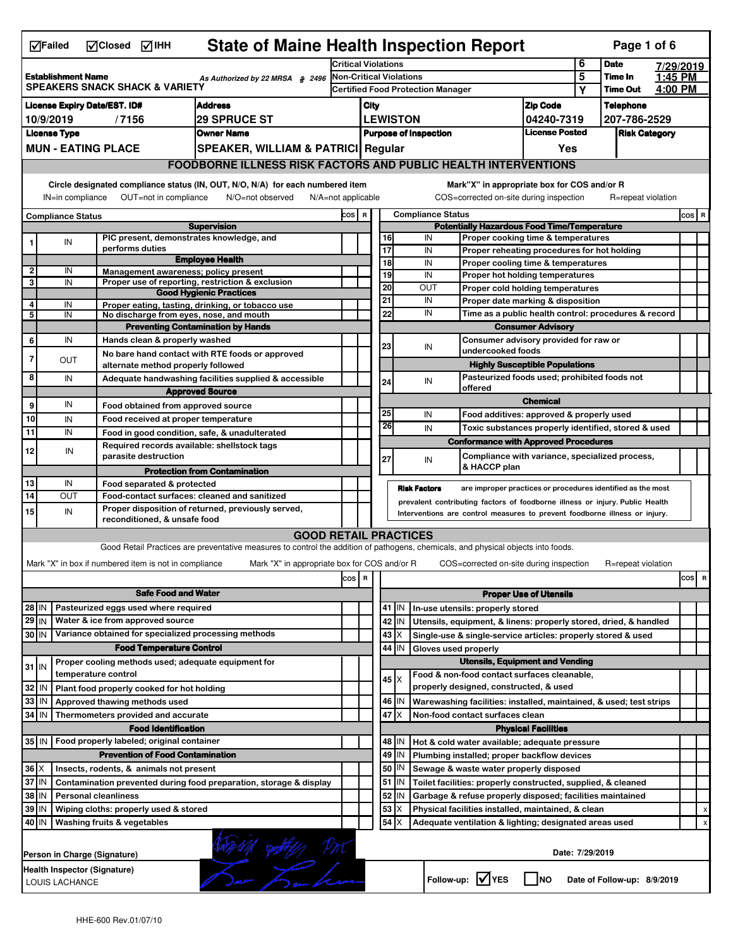|                                                                                                           | <b>State of Maine Health Inspection Report</b><br>MClosed MIHH<br>Page 1 of 6<br>$\nabla$ Failed                     |  |                                                       |                                                                                                                                   |       |                                                       |                 |                                                                              |                                                                                    |                               |              |                      |         |     |             |
|-----------------------------------------------------------------------------------------------------------|----------------------------------------------------------------------------------------------------------------------|--|-------------------------------------------------------|-----------------------------------------------------------------------------------------------------------------------------------|-------|-------------------------------------------------------|-----------------|------------------------------------------------------------------------------|------------------------------------------------------------------------------------|-------------------------------|--------------|----------------------|---------|-----|-------------|
| 6<br><b>Date</b><br><b>Critical Violations</b><br>7/29/2019                                               |                                                                                                                      |  |                                                       |                                                                                                                                   |       |                                                       |                 |                                                                              |                                                                                    |                               |              |                      |         |     |             |
| <b>Establishment Name</b><br>As Authorized by 22 MRSA § 2496<br><b>SPEAKERS SNACK SHACK &amp; VARIETY</b> |                                                                                                                      |  |                                                       | <b>Non-Critical Violations</b><br><b>Certified Food Protection Manager</b>                                                        |       |                                                       |                 |                                                                              |                                                                                    | 5                             | Time In      | 1:45 PM              |         |     |             |
|                                                                                                           |                                                                                                                      |  |                                                       |                                                                                                                                   |       |                                                       |                 |                                                                              |                                                                                    |                               | Υ            | <b>Time Out</b>      | 4:00 PM |     |             |
|                                                                                                           |                                                                                                                      |  | License Expiry Date/EST. ID#                          | <b>Address</b>                                                                                                                    |       | <b>Zip Code</b><br>City                               |                 |                                                                              |                                                                                    |                               |              | <b>Telephone</b>     |         |     |             |
|                                                                                                           | 10/9/2019                                                                                                            |  | /7156                                                 | <b>29 SPRUCE ST</b>                                                                                                               |       | <b>LEWISTON</b><br>04240-7319                         |                 |                                                                              |                                                                                    |                               | 207-786-2529 |                      |         |     |             |
|                                                                                                           | <b>License Type</b>                                                                                                  |  |                                                       | <b>Owner Name</b>                                                                                                                 |       | <b>License Posted</b><br><b>Purpose of Inspection</b> |                 |                                                                              |                                                                                    |                               |              | <b>Risk Category</b> |         |     |             |
|                                                                                                           | <b>MUN - EATING PLACE</b>                                                                                            |  |                                                       | SPEAKER, WILLIAM & PATRICI Regular                                                                                                |       |                                                       |                 |                                                                              |                                                                                    | Yes                           |              |                      |         |     |             |
|                                                                                                           |                                                                                                                      |  |                                                       | <b>FOODBORNE ILLNESS RISK FACTORS AND PUBLIC HEALTH INTERVENTIONS</b>                                                             |       |                                                       |                 |                                                                              |                                                                                    |                               |              |                      |         |     |             |
|                                                                                                           |                                                                                                                      |  |                                                       | Circle designated compliance status (IN, OUT, N/O, N/A) for each numbered item<br>N/O=not observed<br>$N/A = not$ applicable      |       |                                                       |                 |                                                                              | Mark"X" in appropriate box for COS and/or R                                        |                               |              |                      |         |     |             |
|                                                                                                           | OUT=not in compliance<br>IN=in compliance                                                                            |  |                                                       |                                                                                                                                   |       |                                                       |                 |                                                                              | COS=corrected on-site during inspection<br><b>Compliance Status</b>                |                               |              | R=repeat violation   |         |     |             |
| <b>Compliance Status</b><br><b>Supervision</b>                                                            |                                                                                                                      |  |                                                       | COS R                                                                                                                             |       |                                                       |                 | <b>Potentially Hazardous Food Time/Temperature</b>                           |                                                                                    |                               |              |                      | COS R   |     |             |
|                                                                                                           | IN                                                                                                                   |  | PIC present, demonstrates knowledge, and              |                                                                                                                                   |       |                                                       | 16              |                                                                              | IN<br>Proper cooking time & temperatures                                           |                               |              |                      |         |     |             |
|                                                                                                           |                                                                                                                      |  | performs duties                                       |                                                                                                                                   |       |                                                       | 17              |                                                                              | IN<br>Proper reheating procedures for hot holding                                  |                               |              |                      |         |     |             |
| 2                                                                                                         | IN                                                                                                                   |  | Management awareness; policy present                  | <b>Employee Health</b>                                                                                                            |       |                                                       | 18              |                                                                              | IN<br>Proper cooling time & temperatures                                           |                               |              |                      |         |     |             |
| 3                                                                                                         | IN                                                                                                                   |  |                                                       | Proper use of reporting, restriction & exclusion                                                                                  |       |                                                       | $\overline{19}$ |                                                                              | IN<br>Proper hot holding temperatures                                              |                               |              |                      |         |     |             |
|                                                                                                           |                                                                                                                      |  |                                                       | <b>Good Hygienic Practices</b>                                                                                                    |       |                                                       | 20<br>21        |                                                                              | OUT<br>Proper cold holding temperatures                                            |                               |              |                      |         |     |             |
| 4                                                                                                         | IN                                                                                                                   |  |                                                       | Proper eating, tasting, drinking, or tobacco use                                                                                  |       |                                                       | 22              |                                                                              | IN<br>Proper date marking & disposition<br>IN                                      |                               |              |                      |         |     |             |
| 5                                                                                                         | IN                                                                                                                   |  | No discharge from eyes, nose, and mouth               |                                                                                                                                   |       |                                                       |                 |                                                                              | Time as a public health control: procedures & record                               | <b>Consumer Advisory</b>      |              |                      |         |     |             |
| 6                                                                                                         | IN                                                                                                                   |  | Hands clean & properly washed                         | <b>Preventing Contamination by Hands</b>                                                                                          |       |                                                       |                 |                                                                              | Consumer advisory provided for raw or                                              |                               |              |                      |         |     |             |
|                                                                                                           |                                                                                                                      |  |                                                       | No bare hand contact with RTE foods or approved                                                                                   |       |                                                       | 23              |                                                                              | IN<br>undercooked foods                                                            |                               |              |                      |         |     |             |
| 7                                                                                                         | OUT                                                                                                                  |  | alternate method properly followed                    |                                                                                                                                   |       |                                                       |                 |                                                                              | <b>Highly Susceptible Populations</b>                                              |                               |              |                      |         |     |             |
| 8                                                                                                         | IN                                                                                                                   |  |                                                       | Adequate handwashing facilities supplied & accessible                                                                             |       |                                                       | 24              |                                                                              | Pasteurized foods used; prohibited foods not<br>IN                                 |                               |              |                      |         |     |             |
|                                                                                                           |                                                                                                                      |  |                                                       | <b>Approved Source</b>                                                                                                            |       |                                                       |                 |                                                                              | offered                                                                            |                               |              |                      |         |     |             |
| 9                                                                                                         | IN                                                                                                                   |  | Food obtained from approved source                    |                                                                                                                                   |       |                                                       |                 |                                                                              |                                                                                    | <b>Chemical</b>               |              |                      |         |     |             |
| 10                                                                                                        | IN                                                                                                                   |  | Food received at proper temperature                   |                                                                                                                                   |       |                                                       | 25              |                                                                              | IN<br>Food additives: approved & properly used                                     |                               |              |                      |         |     |             |
| 11                                                                                                        | IN                                                                                                                   |  | Food in good condition, safe, & unadulterated         |                                                                                                                                   |       |                                                       | 26              |                                                                              | IN<br>Toxic substances properly identified, stored & used                          |                               |              |                      |         |     |             |
|                                                                                                           |                                                                                                                      |  | Required records available: shellstock tags           |                                                                                                                                   |       |                                                       |                 |                                                                              | <b>Conformance with Approved Procedures</b>                                        |                               |              |                      |         |     |             |
| 12                                                                                                        | IN                                                                                                                   |  | parasite destruction                                  |                                                                                                                                   |       |                                                       | 27              |                                                                              | Compliance with variance, specialized process,<br>IN                               |                               |              |                      |         |     |             |
|                                                                                                           |                                                                                                                      |  |                                                       | <b>Protection from Contamination</b>                                                                                              |       |                                                       |                 |                                                                              | & HACCP plan                                                                       |                               |              |                      |         |     |             |
| 13<br>IN<br>Food separated & protected                                                                    |                                                                                                                      |  |                                                       |                                                                                                                                   |       |                                                       |                 |                                                                              | <b>Risk Factors</b><br>are improper practices or procedures identified as the most |                               |              |                      |         |     |             |
| 14<br>OUT<br>Food-contact surfaces: cleaned and sanitized                                                 |                                                                                                                      |  |                                                       |                                                                                                                                   |       |                                                       |                 | prevalent contributing factors of foodborne illness or injury. Public Health |                                                                                    |                               |              |                      |         |     |             |
| 15                                                                                                        | IN                                                                                                                   |  |                                                       | Proper disposition of returned, previously served,                                                                                |       |                                                       |                 |                                                                              | Interventions are control measures to prevent foodborne illness or injury.         |                               |              |                      |         |     |             |
|                                                                                                           |                                                                                                                      |  | reconditioned, & unsafe food                          |                                                                                                                                   |       |                                                       |                 |                                                                              |                                                                                    |                               |              |                      |         |     |             |
|                                                                                                           |                                                                                                                      |  |                                                       | <b>GOOD RETAIL PRACTICES</b>                                                                                                      |       |                                                       |                 |                                                                              |                                                                                    |                               |              |                      |         |     |             |
|                                                                                                           |                                                                                                                      |  |                                                       | Good Retail Practices are preventative measures to control the addition of pathogens, chemicals, and physical objects into foods. |       |                                                       |                 |                                                                              |                                                                                    |                               |              |                      |         |     |             |
|                                                                                                           |                                                                                                                      |  | Mark "X" in box if numbered item is not in compliance | Mark "X" in appropriate box for COS and/or R                                                                                      |       |                                                       |                 |                                                                              | COS=corrected on-site during inspection                                            |                               |              | R=repeat violation   |         |     |             |
|                                                                                                           |                                                                                                                      |  |                                                       |                                                                                                                                   | cos R |                                                       |                 |                                                                              |                                                                                    |                               |              |                      |         | cos | $\mathbf R$ |
|                                                                                                           |                                                                                                                      |  | <b>Safe Food and Water</b>                            |                                                                                                                                   |       |                                                       |                 |                                                                              |                                                                                    | <b>Proper Use of Utensils</b> |              |                      |         |     |             |
| 28 IN                                                                                                     |                                                                                                                      |  | Pasteurized eggs used where required                  |                                                                                                                                   |       |                                                       |                 | 41 J IN                                                                      | In-use utensils: properly stored                                                   |                               |              |                      |         |     |             |
| 29 IN                                                                                                     |                                                                                                                      |  | Water & ice from approved source                      |                                                                                                                                   |       |                                                       |                 | 42 IN                                                                        | Utensils, equipment, & linens: properly stored, dried, & handled                   |                               |              |                      |         |     |             |
| 30 IN                                                                                                     |                                                                                                                      |  | Variance obtained for specialized processing methods  |                                                                                                                                   |       |                                                       |                 | $43 \times$                                                                  | Single-use & single-service articles: properly stored & used                       |                               |              |                      |         |     |             |
|                                                                                                           |                                                                                                                      |  | <b>Food Temperature Control</b>                       |                                                                                                                                   |       |                                                       | 44              | IN                                                                           | Gloves used properly                                                               |                               |              |                      |         |     |             |
| $31$ M                                                                                                    |                                                                                                                      |  | Proper cooling methods used; adequate equipment for   |                                                                                                                                   |       |                                                       |                 |                                                                              | <b>Utensils, Equipment and Vending</b>                                             |                               |              |                      |         |     |             |
|                                                                                                           |                                                                                                                      |  | temperature control                                   |                                                                                                                                   |       |                                                       |                 | $45 \times$                                                                  | Food & non-food contact surfaces cleanable,                                        |                               |              |                      |         |     |             |
| 32                                                                                                        | IN                                                                                                                   |  | Plant food properly cooked for hot holding            |                                                                                                                                   |       |                                                       |                 |                                                                              | properly designed, constructed, & used                                             |                               |              |                      |         |     |             |
| 33                                                                                                        | IN                                                                                                                   |  | Approved thawing methods used                         |                                                                                                                                   |       |                                                       |                 | 46   IN                                                                      | Warewashing facilities: installed, maintained, & used; test strips                 |                               |              |                      |         |     |             |
| 34 IN                                                                                                     |                                                                                                                      |  | Thermometers provided and accurate                    |                                                                                                                                   |       |                                                       | 47              | IΧ                                                                           | Non-food contact surfaces clean                                                    |                               |              |                      |         |     |             |
|                                                                                                           |                                                                                                                      |  | <b>Food Identification</b>                            |                                                                                                                                   |       |                                                       |                 |                                                                              |                                                                                    | <b>Physical Facilities</b>    |              |                      |         |     |             |
|                                                                                                           |                                                                                                                      |  | 35 IN   Food properly labeled; original container     |                                                                                                                                   |       |                                                       |                 | 48   IN                                                                      | Hot & cold water available; adequate pressure                                      |                               |              |                      |         |     |             |
|                                                                                                           |                                                                                                                      |  | <b>Prevention of Food Contamination</b>               |                                                                                                                                   |       |                                                       | 49              | ΙM                                                                           | Plumbing installed; proper backflow devices                                        |                               |              |                      |         |     |             |
| $36 \times$                                                                                               |                                                                                                                      |  | Insects, rodents, & animals not present               |                                                                                                                                   |       |                                                       | 50              | ΙN                                                                           | Sewage & waste water properly disposed                                             |                               |              |                      |         |     |             |
|                                                                                                           | 37 IN<br>Contamination prevented during food preparation, storage & display                                          |  |                                                       |                                                                                                                                   |       |                                                       |                 | $51$ $\vert$ IN                                                              | Toilet facilities: properly constructed, supplied, & cleaned                       |                               |              |                      |         |     |             |
| 38 IN<br><b>Personal cleanliness</b>                                                                      |                                                                                                                      |  |                                                       |                                                                                                                                   |       | 52                                                    | IN              | Garbage & refuse properly disposed; facilities maintained                    |                                                                                    |                               |              |                      |         |     |             |
|                                                                                                           | 39 IN<br>Wiping cloths: properly used & stored                                                                       |  |                                                       |                                                                                                                                   |       |                                                       | 53              | X                                                                            | Physical facilities installed, maintained, & clean                                 |                               |              |                      |         |     | x           |
| 40 IN                                                                                                     |                                                                                                                      |  | Washing fruits & vegetables                           |                                                                                                                                   |       |                                                       |                 | $54$ $\times$                                                                | Adequate ventilation & lighting; designated areas used                             |                               |              |                      |         |     | х           |
|                                                                                                           | begun by<br>Date: 7/29/2019<br>Person in Charge (Signature)                                                          |  |                                                       |                                                                                                                                   |       |                                                       |                 |                                                                              |                                                                                    |                               |              |                      |         |     |             |
|                                                                                                           | Health Inspector (Signature)<br>Follow-up: $\sqrt{\ }$ YES<br>  Ino<br>Date of Follow-up: 8/9/2019<br>LOUIS LACHANCE |  |                                                       |                                                                                                                                   |       |                                                       |                 |                                                                              |                                                                                    |                               |              |                      |         |     |             |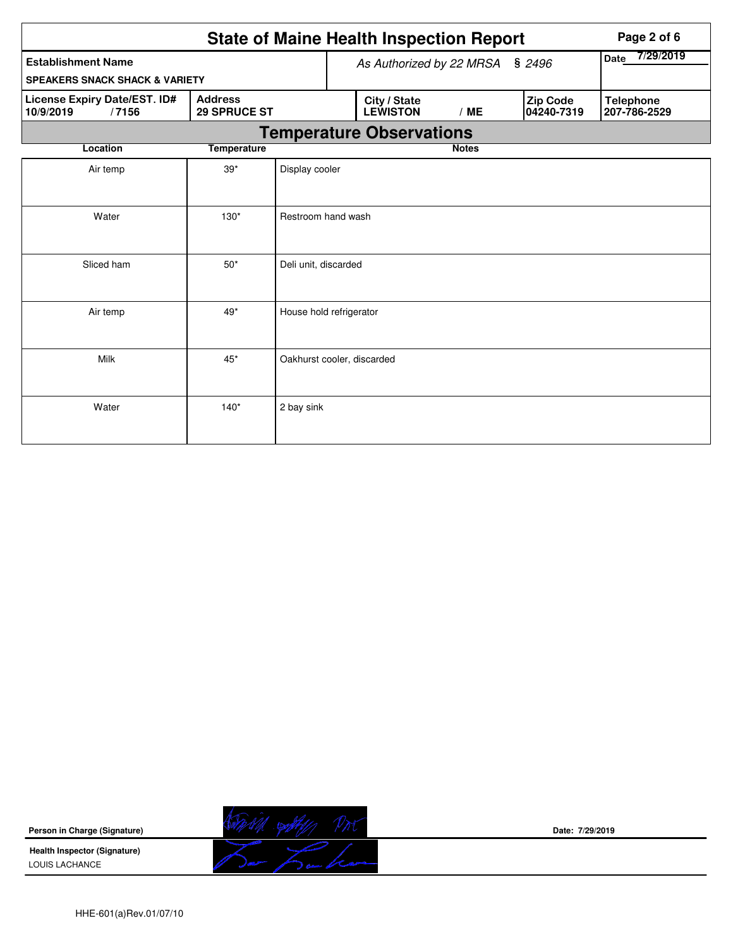|                                                    | <b>State of Maine Health Inspection Report</b> |                                 |  | Page 2 of 6                     |              |                   |                        |                                  |
|----------------------------------------------------|------------------------------------------------|---------------------------------|--|---------------------------------|--------------|-------------------|------------------------|----------------------------------|
| <b>Establishment Name</b>                          | As Authorized by 22 MRSA § 2496                |                                 |  |                                 |              | 7/29/2019<br>Date |                        |                                  |
| <b>SPEAKERS SNACK SHACK &amp; VARIETY</b>          |                                                |                                 |  |                                 |              |                   |                        |                                  |
| License Expiry Date/EST. ID#<br>10/9/2019<br>/7156 | <b>Address</b><br><b>29 SPRUCE ST</b>          |                                 |  | City / State<br><b>LEWISTON</b> | /ME          |                   | Zip Code<br>04240-7319 | <b>Telephone</b><br>207-786-2529 |
|                                                    |                                                | <b>Temperature Observations</b> |  |                                 |              |                   |                        |                                  |
| Location                                           | <b>Temperature</b>                             |                                 |  |                                 | <b>Notes</b> |                   |                        |                                  |
| Air temp                                           | $39*$                                          | Display cooler                  |  |                                 |              |                   |                        |                                  |
| Water                                              | $130*$                                         | Restroom hand wash              |  |                                 |              |                   |                        |                                  |
| Sliced ham                                         | $50*$                                          | Deli unit, discarded            |  |                                 |              |                   |                        |                                  |
| Air temp                                           | $49*$                                          | House hold refrigerator         |  |                                 |              |                   |                        |                                  |
| Milk                                               | $45*$                                          | Oakhurst cooler, discarded      |  |                                 |              |                   |                        |                                  |
| Water                                              | $140*$                                         | 2 bay sink                      |  |                                 |              |                   |                        |                                  |

**Person in Charge (Signature)**

**Health Inspector (Signature)**  LOUIS LACHANCE



**Date: 7/29/2019**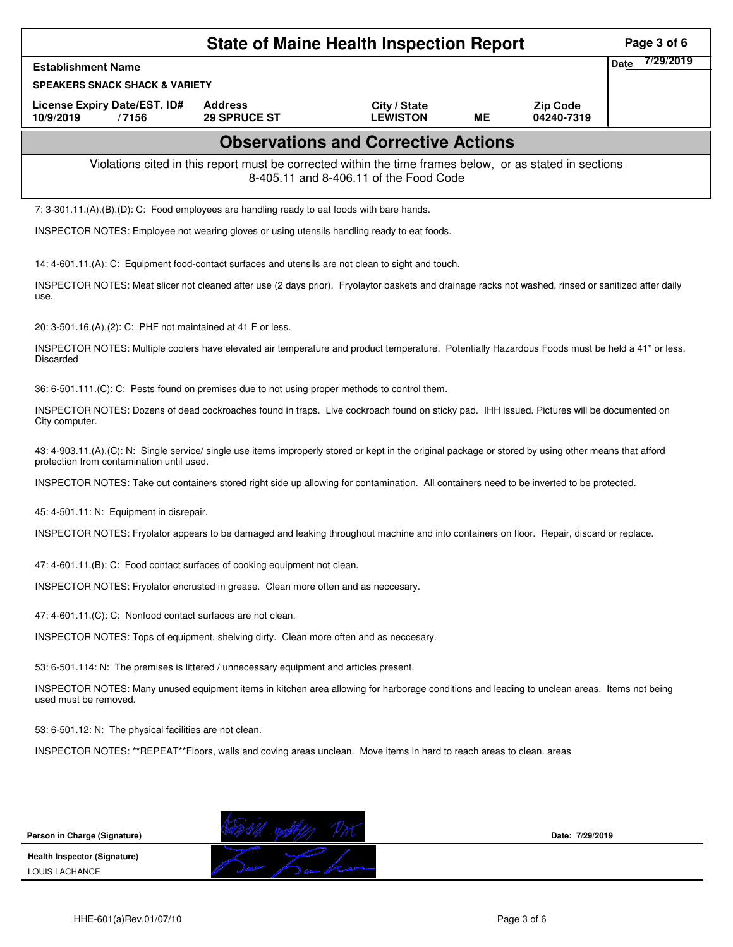|                                                                                                                                                                                                     | Page 3 of 6                                                                                                                                  |                                            |           |                               |                          |  |  |  |  |  |
|-----------------------------------------------------------------------------------------------------------------------------------------------------------------------------------------------------|----------------------------------------------------------------------------------------------------------------------------------------------|--------------------------------------------|-----------|-------------------------------|--------------------------|--|--|--|--|--|
| <b>Establishment Name</b>                                                                                                                                                                           |                                                                                                                                              |                                            |           |                               | 7/29/2019<br><b>Date</b> |  |  |  |  |  |
| <b>SPEAKERS SNACK SHACK &amp; VARIETY</b>                                                                                                                                                           |                                                                                                                                              |                                            |           |                               |                          |  |  |  |  |  |
| License Expiry Date/EST. ID#<br>10/9/2019<br>/7156                                                                                                                                                  | <b>Address</b><br><b>29 SPRUCE ST</b>                                                                                                        | City / State<br><b>LEWISTON</b>            | <b>ME</b> | <b>Zip Code</b><br>04240-7319 |                          |  |  |  |  |  |
|                                                                                                                                                                                                     |                                                                                                                                              | <b>Observations and Corrective Actions</b> |           |                               |                          |  |  |  |  |  |
|                                                                                                                                                                                                     | Violations cited in this report must be corrected within the time frames below, or as stated in sections                                     | 8-405.11 and 8-406.11 of the Food Code     |           |                               |                          |  |  |  |  |  |
| 7: 3-301.11.(A).(B).(D): C: Food employees are handling ready to eat foods with bare hands.                                                                                                         |                                                                                                                                              |                                            |           |                               |                          |  |  |  |  |  |
| INSPECTOR NOTES: Employee not wearing gloves or using utensils handling ready to eat foods.                                                                                                         |                                                                                                                                              |                                            |           |                               |                          |  |  |  |  |  |
| 14: 4-601.11.(A): C: Equipment food-contact surfaces and utensils are not clean to sight and touch.                                                                                                 |                                                                                                                                              |                                            |           |                               |                          |  |  |  |  |  |
| INSPECTOR NOTES: Meat slicer not cleaned after use (2 days prior). Fryolaytor baskets and drainage racks not washed, rinsed or sanitized after daily<br>use.                                        |                                                                                                                                              |                                            |           |                               |                          |  |  |  |  |  |
| 20: 3-501.16.(A).(2): C: PHF not maintained at 41 F or less.                                                                                                                                        |                                                                                                                                              |                                            |           |                               |                          |  |  |  |  |  |
| INSPECTOR NOTES: Multiple coolers have elevated air temperature and product temperature. Potentially Hazardous Foods must be held a 41* or less.<br>Discarded                                       |                                                                                                                                              |                                            |           |                               |                          |  |  |  |  |  |
| 36: 6-501.111.(C): C: Pests found on premises due to not using proper methods to control them.                                                                                                      |                                                                                                                                              |                                            |           |                               |                          |  |  |  |  |  |
| INSPECTOR NOTES: Dozens of dead cockroaches found in traps. Live cockroach found on sticky pad. IHH issued. Pictures will be documented on<br>City computer.                                        |                                                                                                                                              |                                            |           |                               |                          |  |  |  |  |  |
| 43: 4-903.11.(A).(C): N: Single service/ single use items improperly stored or kept in the original package or stored by using other means that afford<br>protection from contamination until used. |                                                                                                                                              |                                            |           |                               |                          |  |  |  |  |  |
| INSPECTOR NOTES: Take out containers stored right side up allowing for contamination. All containers need to be inverted to be protected.                                                           |                                                                                                                                              |                                            |           |                               |                          |  |  |  |  |  |
| 45: 4-501.11: N: Equipment in disrepair.                                                                                                                                                            |                                                                                                                                              |                                            |           |                               |                          |  |  |  |  |  |
| INSPECTOR NOTES: Fryolator appears to be damaged and leaking throughout machine and into containers on floor. Repair, discard or replace.                                                           |                                                                                                                                              |                                            |           |                               |                          |  |  |  |  |  |
| 47: 4-601.11.(B): C: Food contact surfaces of cooking equipment not clean.                                                                                                                          |                                                                                                                                              |                                            |           |                               |                          |  |  |  |  |  |
| INSPECTOR NOTES: Fryolator encrusted in grease. Clean more often and as neccesary.                                                                                                                  |                                                                                                                                              |                                            |           |                               |                          |  |  |  |  |  |
| 47: 4-601.11.(C): C: Nonfood contact surfaces are not clean.                                                                                                                                        |                                                                                                                                              |                                            |           |                               |                          |  |  |  |  |  |
| INSPECTOR NOTES: Tops of equipment, shelving dirty. Clean more often and as neccesary.                                                                                                              |                                                                                                                                              |                                            |           |                               |                          |  |  |  |  |  |
| 53: 6-501.114: N: The premises is littered / unnecessary equipment and articles present.                                                                                                            |                                                                                                                                              |                                            |           |                               |                          |  |  |  |  |  |
| used must be removed.                                                                                                                                                                               | INSPECTOR NOTES: Many unused equipment items in kitchen area allowing for harborage conditions and leading to unclean areas. Items not being |                                            |           |                               |                          |  |  |  |  |  |
| 53: 6-501.12: N: The physical facilities are not clean.                                                                                                                                             |                                                                                                                                              |                                            |           |                               |                          |  |  |  |  |  |
|                                                                                                                                                                                                     | INSPECTOR NOTES: **REPEAT**Floors, walls and coving areas unclean. Move items in hard to reach areas to clean. areas                         |                                            |           |                               |                          |  |  |  |  |  |
|                                                                                                                                                                                                     |                                                                                                                                              |                                            |           |                               |                          |  |  |  |  |  |
|                                                                                                                                                                                                     |                                                                                                                                              |                                            |           |                               |                          |  |  |  |  |  |
| Person in Charge (Signature)                                                                                                                                                                        |                                                                                                                                              |                                            |           | Date: 7/29/2019               |                          |  |  |  |  |  |
| <b>Health Inspector (Signature)</b>                                                                                                                                                                 |                                                                                                                                              |                                            |           |                               |                          |  |  |  |  |  |
| LOUIS LACHANCE                                                                                                                                                                                      |                                                                                                                                              |                                            |           |                               |                          |  |  |  |  |  |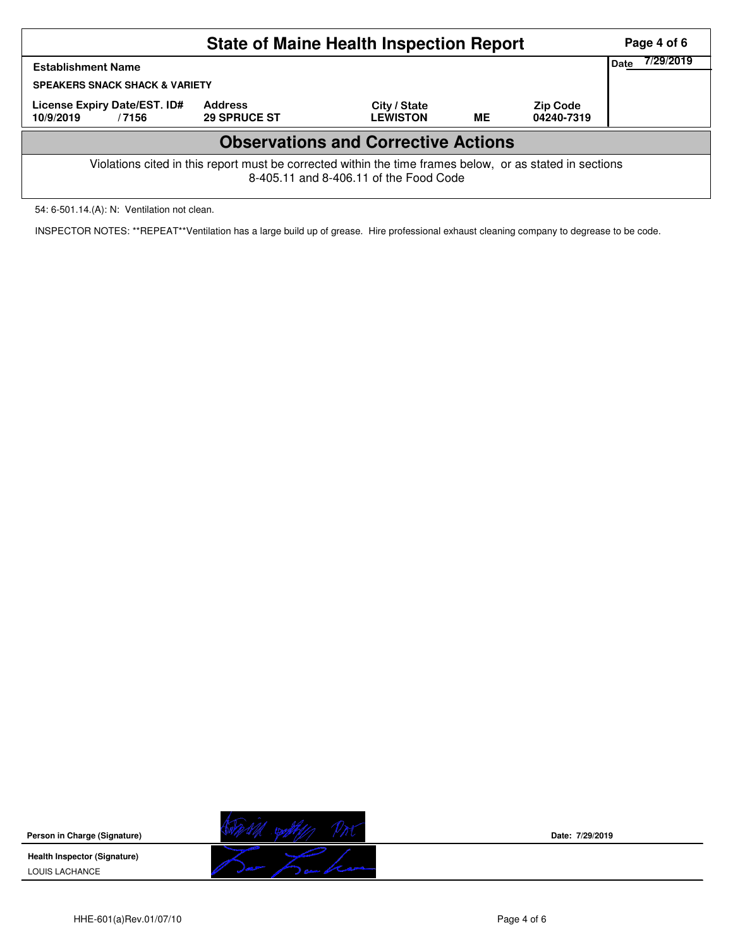|                                                                                                                                                    |                                       | Page 4 of 6<br>7/29/2019        |           |                               |  |  |  |  |  |  |
|----------------------------------------------------------------------------------------------------------------------------------------------------|---------------------------------------|---------------------------------|-----------|-------------------------------|--|--|--|--|--|--|
| <b>Establishment Name</b>                                                                                                                          |                                       |                                 |           |                               |  |  |  |  |  |  |
| <b>SPEAKERS SNACK SHACK &amp; VARIETY</b>                                                                                                          |                                       |                                 |           |                               |  |  |  |  |  |  |
| License Expiry Date/EST. ID#<br>10/9/2019<br>/7156                                                                                                 | <b>Address</b><br><b>29 SPRUCE ST</b> | City / State<br><b>LEWISTON</b> | <b>ME</b> | <b>Zip Code</b><br>04240-7319 |  |  |  |  |  |  |
| <b>Observations and Corrective Actions</b>                                                                                                         |                                       |                                 |           |                               |  |  |  |  |  |  |
| Violations cited in this report must be corrected within the time frames below, or as stated in sections<br>8-405.11 and 8-406.11 of the Food Code |                                       |                                 |           |                               |  |  |  |  |  |  |

54: 6-501.14.(A): N: Ventilation not clean.

INSPECTOR NOTES: \*\*REPEAT\*\*Ventilation has a large build up of grease. Hire professional exhaust cleaning company to degrease to be code.

**Person in Charge (Signature) Health Inspector (Signature)**  LOUIS LACHANCE



**Date: 7/29/2019**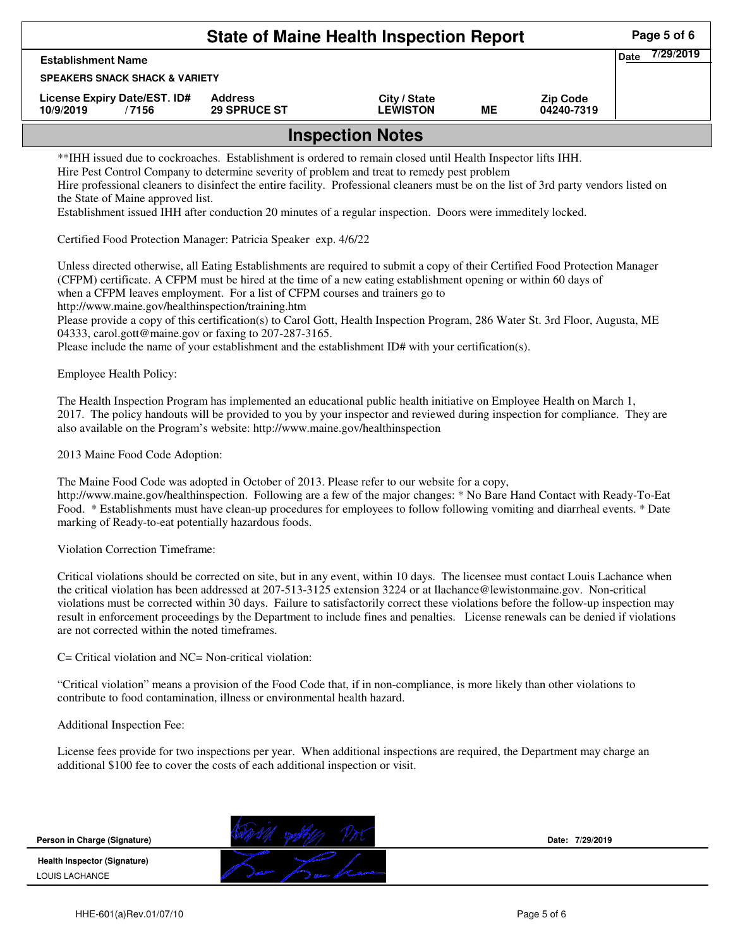|                                                                                                                                                                                                                                                                                                                                                                                                                                                                                                                                                                                                                                                                                          |                                       | <b>State of Maine Health Inspection Report</b> |           |                               | Page 5 of 6              |
|------------------------------------------------------------------------------------------------------------------------------------------------------------------------------------------------------------------------------------------------------------------------------------------------------------------------------------------------------------------------------------------------------------------------------------------------------------------------------------------------------------------------------------------------------------------------------------------------------------------------------------------------------------------------------------------|---------------------------------------|------------------------------------------------|-----------|-------------------------------|--------------------------|
| <b>Establishment Name</b>                                                                                                                                                                                                                                                                                                                                                                                                                                                                                                                                                                                                                                                                |                                       |                                                |           |                               | 7/29/2019<br><b>Date</b> |
| <b>SPEAKERS SNACK SHACK &amp; VARIETY</b>                                                                                                                                                                                                                                                                                                                                                                                                                                                                                                                                                                                                                                                |                                       |                                                |           |                               |                          |
| License Expiry Date/EST. ID#<br>10/9/2019<br>/7156                                                                                                                                                                                                                                                                                                                                                                                                                                                                                                                                                                                                                                       | <b>Address</b><br><b>29 SPRUCE ST</b> | City / State<br><b>LEWISTON</b>                | <b>ME</b> | <b>Zip Code</b><br>04240-7319 |                          |
|                                                                                                                                                                                                                                                                                                                                                                                                                                                                                                                                                                                                                                                                                          |                                       | <b>Inspection Notes</b>                        |           |                               |                          |
| **IHH issued due to cockroaches. Establishment is ordered to remain closed until Health Inspector lifts IHH.<br>Hire Pest Control Company to determine severity of problem and treat to remedy pest problem<br>Hire professional cleaners to disinfect the entire facility. Professional cleaners must be on the list of 3rd party vendors listed on<br>the State of Maine approved list.<br>Establishment issued IHH after conduction 20 minutes of a regular inspection. Doors were immeditely locked.                                                                                                                                                                                 |                                       |                                                |           |                               |                          |
| Certified Food Protection Manager: Patricia Speaker exp. 4/6/22                                                                                                                                                                                                                                                                                                                                                                                                                                                                                                                                                                                                                          |                                       |                                                |           |                               |                          |
| Unless directed otherwise, all Eating Establishments are required to submit a copy of their Certified Food Protection Manager<br>(CFPM) certificate. A CFPM must be hired at the time of a new eating establishment opening or within 60 days of<br>when a CFPM leaves employment. For a list of CFPM courses and trainers go to<br>http://www.maine.gov/healthinspection/training.htm<br>Please provide a copy of this certification(s) to Carol Gott, Health Inspection Program, 286 Water St. 3rd Floor, Augusta, ME<br>04333, carol.gott@maine.gov or faxing to 207-287-3165.<br>Please include the name of your establishment and the establishment ID# with your certification(s). |                                       |                                                |           |                               |                          |
| <b>Employee Health Policy:</b>                                                                                                                                                                                                                                                                                                                                                                                                                                                                                                                                                                                                                                                           |                                       |                                                |           |                               |                          |
| The Health Inspection Program has implemented an educational public health initiative on Employee Health on March 1,<br>2017. The policy handouts will be provided to you by your inspector and reviewed during inspection for compliance. They are<br>also available on the Program's website: http://www.maine.gov/healthinspection                                                                                                                                                                                                                                                                                                                                                    |                                       |                                                |           |                               |                          |
| 2013 Maine Food Code Adoption:                                                                                                                                                                                                                                                                                                                                                                                                                                                                                                                                                                                                                                                           |                                       |                                                |           |                               |                          |
| The Maine Food Code was adopted in October of 2013. Please refer to our website for a copy,<br>http://www.maine.gov/healthinspection. Following are a few of the major changes: * No Bare Hand Contact with Ready-To-Eat<br>Food. * Establishments must have clean-up procedures for employees to follow following vomiting and diarrheal events. * Date<br>marking of Ready-to-eat potentially hazardous foods.                                                                                                                                                                                                                                                                         |                                       |                                                |           |                               |                          |
| Violation Correction Timeframe:                                                                                                                                                                                                                                                                                                                                                                                                                                                                                                                                                                                                                                                          |                                       |                                                |           |                               |                          |
| Critical violations should be corrected on site, but in any event, within 10 days. The licensee must contact Louis Lachance when<br>the critical violation has been addressed at 207-513-3125 extension 3224 or at Ilachance@lewistonmaine.gov. Non-critical<br>violations must be corrected within 30 days. Failure to satisfactorily correct these violations before the follow-up inspection may<br>result in enforcement proceedings by the Department to include fines and penalties. License renewals can be denied if violations<br>are not corrected within the noted timeframes.                                                                                                |                                       |                                                |           |                               |                          |
| C= Critical violation and NC= Non-critical violation:                                                                                                                                                                                                                                                                                                                                                                                                                                                                                                                                                                                                                                    |                                       |                                                |           |                               |                          |
| "Critical violation" means a provision of the Food Code that, if in non-compliance, is more likely than other violations to<br>contribute to food contamination, illness or environmental health hazard.                                                                                                                                                                                                                                                                                                                                                                                                                                                                                 |                                       |                                                |           |                               |                          |
| Additional Inspection Fee:                                                                                                                                                                                                                                                                                                                                                                                                                                                                                                                                                                                                                                                               |                                       |                                                |           |                               |                          |
| License fees provide for two inspections per year. When additional inspections are required, the Department may charge an<br>additional \$100 fee to cover the costs of each additional inspection or visit.                                                                                                                                                                                                                                                                                                                                                                                                                                                                             |                                       |                                                |           |                               |                          |
| Person in Charge (Signature)                                                                                                                                                                                                                                                                                                                                                                                                                                                                                                                                                                                                                                                             |                                       |                                                |           | Date: 7/29/2019               |                          |
| Health Inspector (Signature)                                                                                                                                                                                                                                                                                                                                                                                                                                                                                                                                                                                                                                                             |                                       |                                                |           |                               |                          |
| LOUIS LACHANCE                                                                                                                                                                                                                                                                                                                                                                                                                                                                                                                                                                                                                                                                           |                                       |                                                |           |                               |                          |